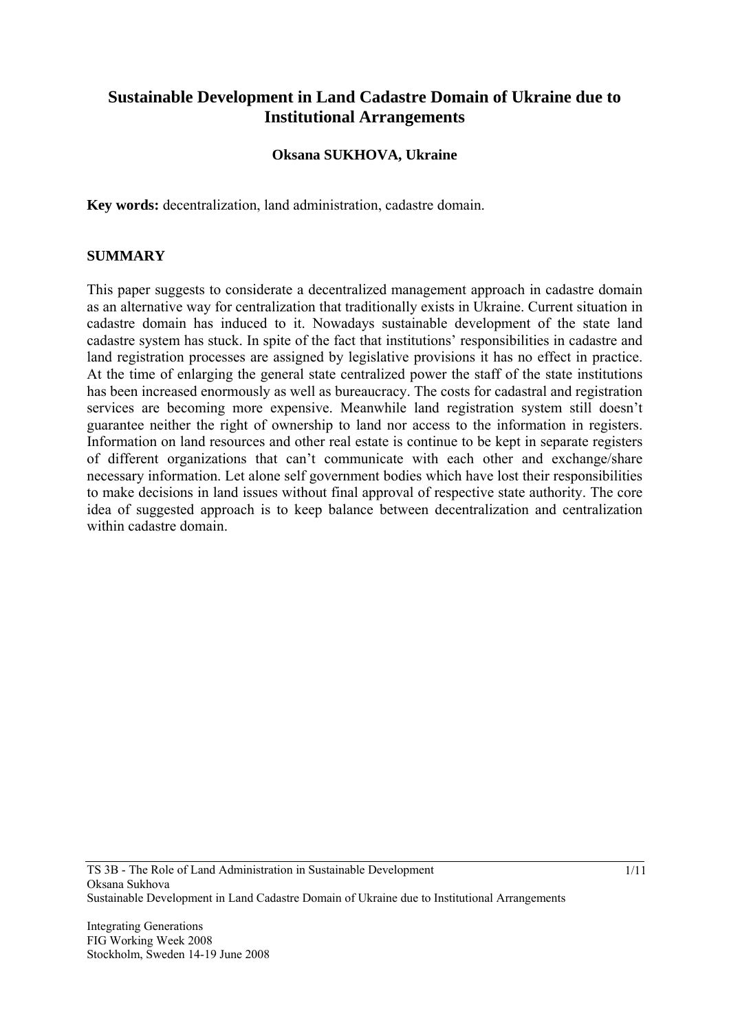# **Sustainable Development in Land Cadastre Domain of Ukraine due to Institutional Arrangements**

#### **Oksana SUKHOVA, Ukraine**

**Key words:** decentralization, land administration, cadastre domain.

#### **SUMMARY**

This paper suggests to considerate a decentralized management approach in cadastre domain as an alternative way for centralization that traditionally exists in Ukraine. Current situation in cadastre domain has induced to it. Nowadays sustainable development of the state land cadastre system has stuck. In spite of the fact that institutions' responsibilities in cadastre and land registration processes are assigned by legislative provisions it has no effect in practice. At the time of enlarging the general state centralized power the staff of the state institutions has been increased enormously as well as bureaucracy. The costs for cadastral and registration services are becoming more expensive. Meanwhile land registration system still doesn't guarantee neither the right of ownership to land nor access to the information in registers. Information on land resources and other real estate is continue to be kept in separate registers of different organizations that can't communicate with each other and exchange/share necessary information. Let alone self government bodies which have lost their responsibilities to make decisions in land issues without final approval of respective state authority. The core idea of suggested approach is to keep balance between decentralization and centralization within cadastre domain.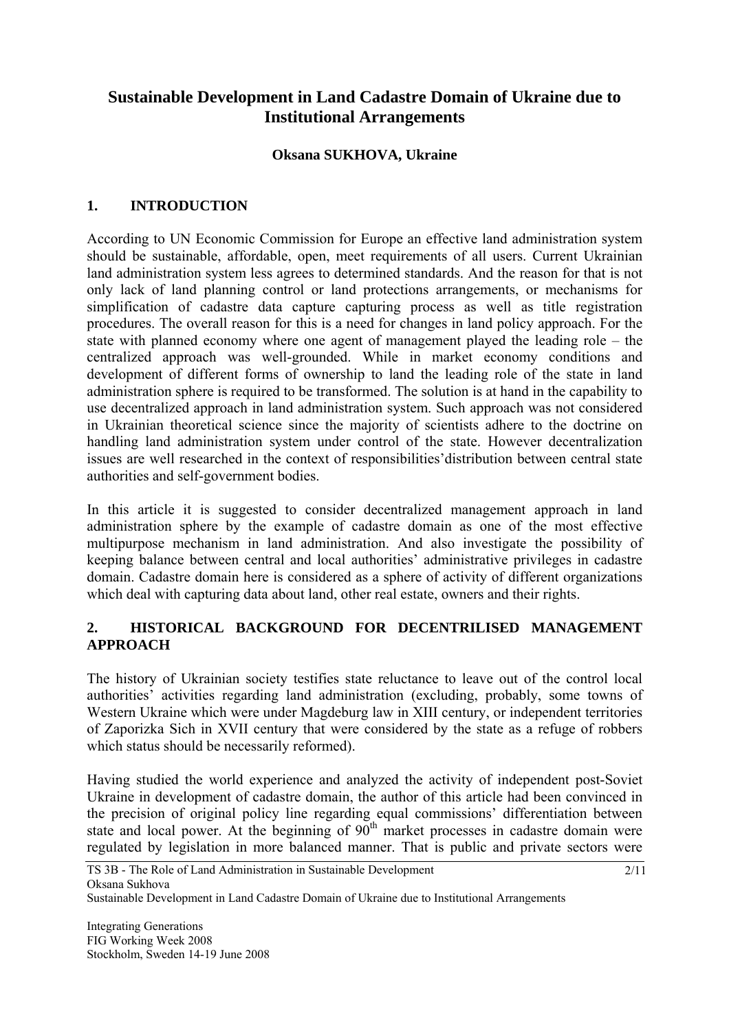# **Sustainable Development in Land Cadastre Domain of Ukraine due to Institutional Arrangements**

### **Oksana SUKHOVA, Ukraine**

# **1. INTRODUCTION**

According to UN Economic Commission for Europe an effective land administration system should be sustainable, affordable, open, meet requirements of all users. Current Ukrainian land administration system less agrees to determined standards. And the reason for that is not only lack of land planning control or land protections arrangements, or mechanisms for simplification of cadastre data capture capturing process as well as title registration procedures. The overall reason for this is a need for changes in land policy approach. For the state with planned economy where one agent of management played the leading role – the centralized approach was well-grounded. While in market economy conditions and development of different forms of ownership to land the leading role of the state in land administration sphere is required to be transformed. The solution is at hand in the capability to use decentralized approach in land administration system. Such approach was not considered in Ukrainian theoretical science since the majority of scientists adhere to the doctrine on handling land administration system under control of the state. However decentralization issues are well researched in the context of responsibilities'distribution between central state authorities and self-government bodies.

In this article it is suggested to consider decentralized management approach in land administration sphere by the example of cadastre domain as one of the most effective multipurpose mechanism in land administration. And also investigate the possibility of keeping balance between central and local authorities' administrative privileges in cadastre domain. Cadastre domain here is considered as a sphere of activity of different organizations which deal with capturing data about land, other real estate, owners and their rights.

### **2. HISTORICAL BACKGROUND FOR DECENTRILISED MANAGEMENT APPROACH**

The history of Ukrainian society testifies state reluctance to leave out of the control local authorities' activities regarding land administration (excluding, probably, some towns of Western Ukraine which were under Magdeburg law in XIII century, or independent territories of Zaporizka Sich in XVII century that were considered by the state as a refuge of robbers which status should be necessarily reformed).

Having studied the world experience and analyzed the activity of independent post-Soviet Ukraine in development of cadastre domain, the author of this article had been convinced in the precision of original policy line regarding equal commissions' differentiation between state and local power. At the beginning of  $90<sup>th</sup>$  market processes in cadastre domain were regulated by legislation in more balanced manner. That is public and private sectors were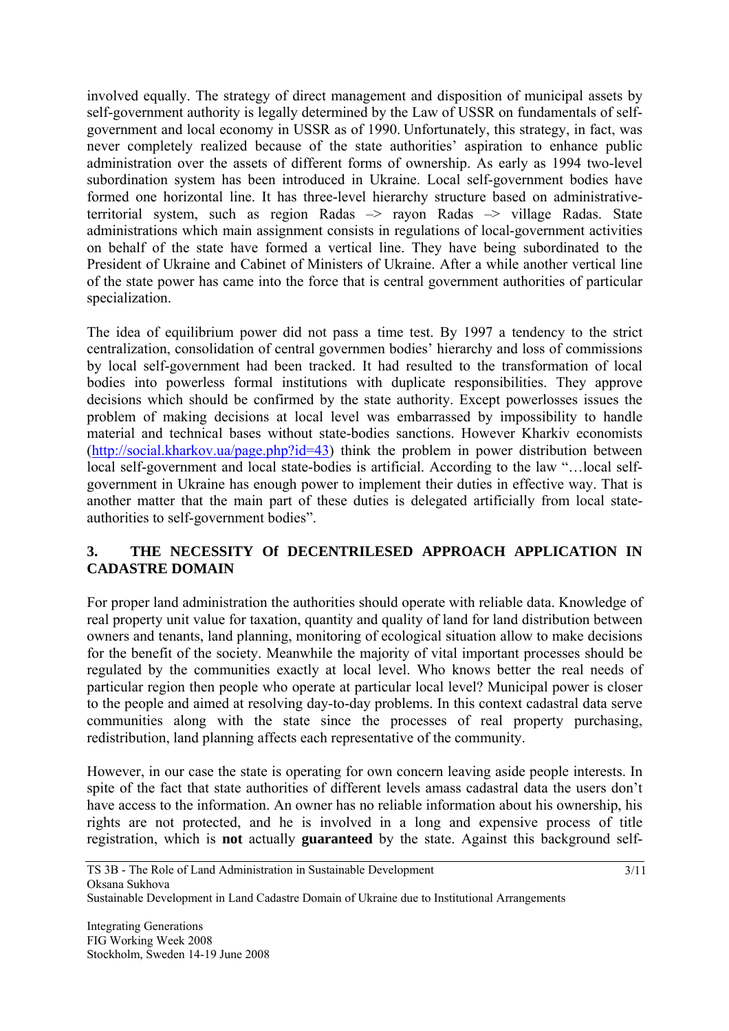involved equally. The strategy of direct management and disposition of municipal assets by self-government authority is legally determined by the Law of USSR on fundamentals of selfgovernment and local economy in USSR as of 1990. Unfortunately, this strategy, in fact, was never completely realized because of the state authorities' aspiration to enhance public administration over the assets of different forms of ownership. As early as 1994 two-level subordination system has been introduced in Ukraine. Local self-government bodies have formed one horizontal line. It has three-level hierarchy structure based on administrativeterritorial system, such as region Radas –> rayon Radas –> village Radas. State administrations which main assignment consists in regulations of local-government activities on behalf of the state have formed a vertical line. They have being subordinated to the President of Ukraine and Cabinet of Ministers of Ukraine. After a while another vertical line of the state power has came into the force that is central government authorities of particular specialization.

The idea of equilibrium power did not pass a time test. By 1997 a tendency to the strict centralization, consolidation of central governmen bodies' hierarchy and loss of commissions by local self-government had been tracked. It had resulted to the transformation of local bodies into powerless formal institutions with duplicate responsibilities. They approve decisions which should be confirmed by the state authority. Except powerlosses issues the problem of making decisions at local level was embarrassed by impossibility to handle material and technical bases without state-bodies sanctions. However Kharkiv economists (http://social.kharkov.ua/page.php?id=43) think the problem in power distribution between local self-government and local state-bodies is artificial. According to the law "…local selfgovernment in Ukraine has enough power to implement their duties in effective way. That is another matter that the main part of these duties is delegated artificially from local stateauthorities to self-government bodies".

# **3. THE NECESSITY Of DECENTRILESED APPROACH APPLICATION IN CADASTRE DOMAIN**

For proper land administration the authorities should operate with reliable data. Knowledge of real property unit value for taxation, quantity and quality of land for land distribution between owners and tenants, land planning, monitoring of ecological situation allow to make decisions for the benefit of the society. Meanwhile the majority of vital important processes should be regulated by the communities exactly at local level. Who knows better the real needs of particular region then people who operate at particular local level? Municipal power is closer to the people and aimed at resolving day-to-day problems. In this context cadastral data serve communities along with the state since the processes of real property purchasing, redistribution, land planning affects each representative of the community.

However, in our case the state is operating for own concern leaving aside people interests. In spite of the fact that state authorities of different levels amass cadastral data the users don't have access to the information. An owner has no reliable information about his ownership, his rights are not protected, and he is involved in a long and expensive process of title registration, which is **not** actually **guaranteed** by the state. Against this background self-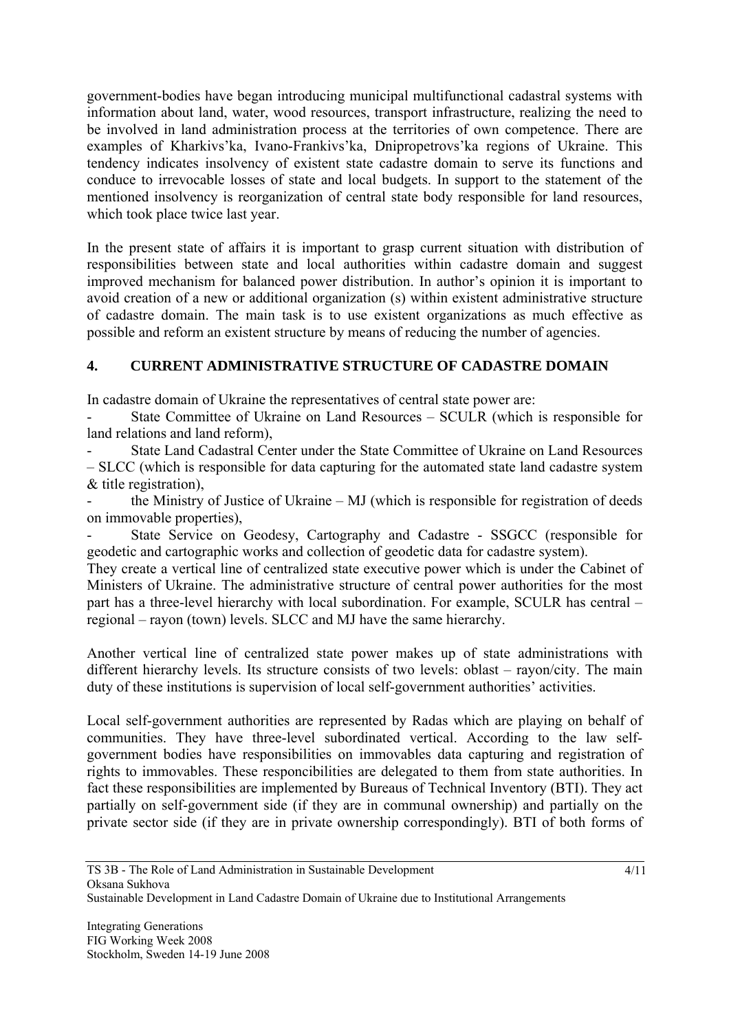government-bodies have began introducing municipal multifunctional cadastral systems with information about land, water, wood resources, transport infrastructure, realizing the need to be involved in land administration process at the territories of own competence. There are examples of Kharkivs'ka, Ivano-Frankivs'ka, Dnipropetrovs'ka regions of Ukraine. This tendency indicates insolvency of existent state cadastre domain to serve its functions and conduce to irrevocable losses of state and local budgets. In support to the statement of the mentioned insolvency is reorganization of central state body responsible for land resources, which took place twice last year.

In the present state of affairs it is important to grasp current situation with distribution of responsibilities between state and local authorities within cadastre domain and suggest improved mechanism for balanced power distribution. In author's opinion it is important to avoid creation of a new or additional organization (s) within existent administrative structure of cadastre domain. The main task is to use existent organizations as much effective as possible and reform an existent structure by means of reducing the number of agencies.

# **4. CURRENT ADMINISTRATIVE STRUCTURE OF CADASTRE DOMAIN**

In cadastre domain of Ukraine the representatives of central state power are:

State Committee of Ukraine on Land Resources – SCULR (which is responsible for land relations and land reform)

- State Land Cadastral Center under the State Committee of Ukraine on Land Resources – SLCC (which is responsible for data capturing for the automated state land cadastre system & title registration),

the Ministry of Justice of Ukraine – MJ (which is responsible for registration of deeds on immovable properties),

State Service on Geodesy, Cartography and Cadastre - SSGCC (responsible for geodetic and cartographic works and collection of geodetic data for cadastre system).

They create a vertical line of centralized state executive power which is under the Cabinet of Ministers of Ukraine. The administrative structure of central power authorities for the most part has a three-level hierarchy with local subordination. For example, SCULR has central – regional – rayon (town) levels. SLCC and MJ have the same hierarchy.

Another vertical line of centralized state power makes up of state administrations with different hierarchy levels. Its structure consists of two levels: oblast – rayon/city. The main duty of these institutions is supervision of local self-government authorities' activities.

Local self-government authorities are represented by Radas which are playing on behalf of communities. They have three-level subordinated vertical. According to the law selfgovernment bodies have responsibilities on immovables data capturing and registration of rights to immovables. These responcibilities are delegated to them from state authorities. In fact these responsibilities are implemented by Bureaus of Technical Inventory (BTI). They act partially on self-government side (if they are in communal ownership) and partially on the private sector side (if they are in private ownership correspondingly). BTI of both forms of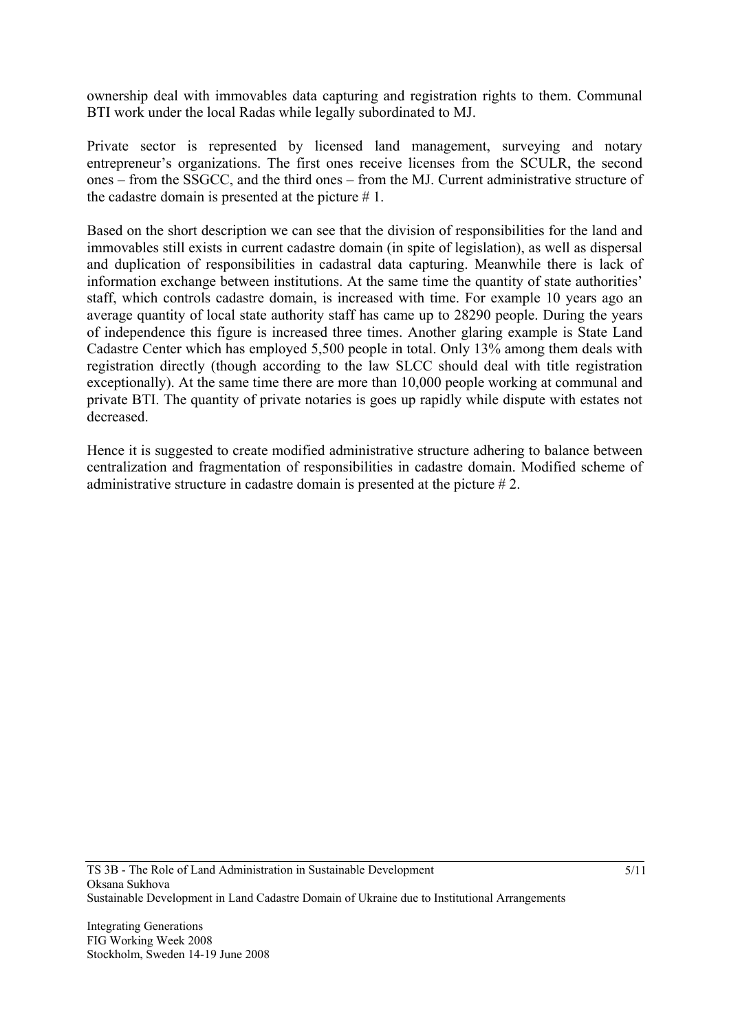ownership deal with immovables data capturing and registration rights to them. Communal BTI work under the local Radas while legally subordinated to MJ.

Private sector is represented by licensed land management, surveying and notary entrepreneur's organizations. The first ones receive licenses from the SСULR, the second ones – from the SSGCC, and the third ones – from the MJ. Current administrative structure of the cadastre domain is presented at the picture  $# 1$ .

Based on the short description we can see that the division of responsibilities for the land and immovables still exists in current cadastre domain (in spite of legislation), as well as dispersal and duplication of responsibilities in cadastral data capturing. Meanwhile there is lack of information exchange between institutions. At the same time the quantity of state authorities' staff, which controls cadastre domain, is increased with time. For example 10 years ago an average quantity of local state authority staff has came up to 28290 people. During the years of independence this figure is increased three times. Another glaring example is State Land Cadastre Center which has employed 5,500 people in total. Only 13% among them deals with registration directly (though according to the law SLCC should deal with title registration exceptionally). At the same time there are more than 10,000 people working at communal and private BTI. The quantity of private notaries is goes up rapidly while dispute with estates not decreased.

Hence it is suggested to create modified administrative structure adhering to balance between centralization and fragmentation of responsibilities in cadastre domain. Modified scheme of administrative structure in cadastre domain is presented at the picture # 2.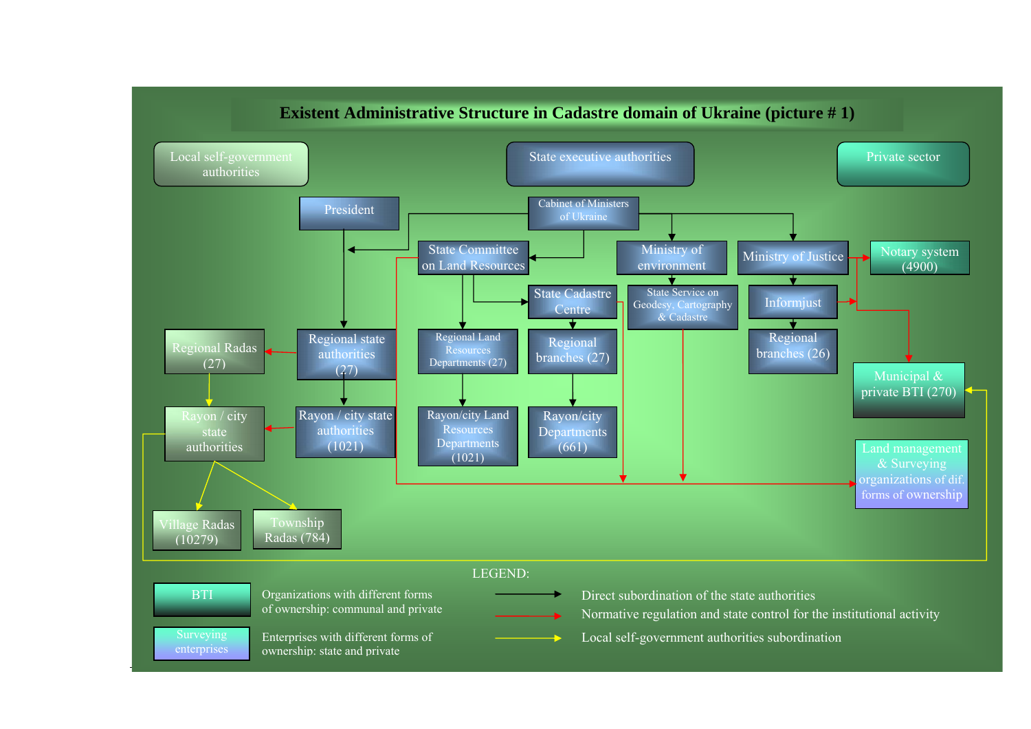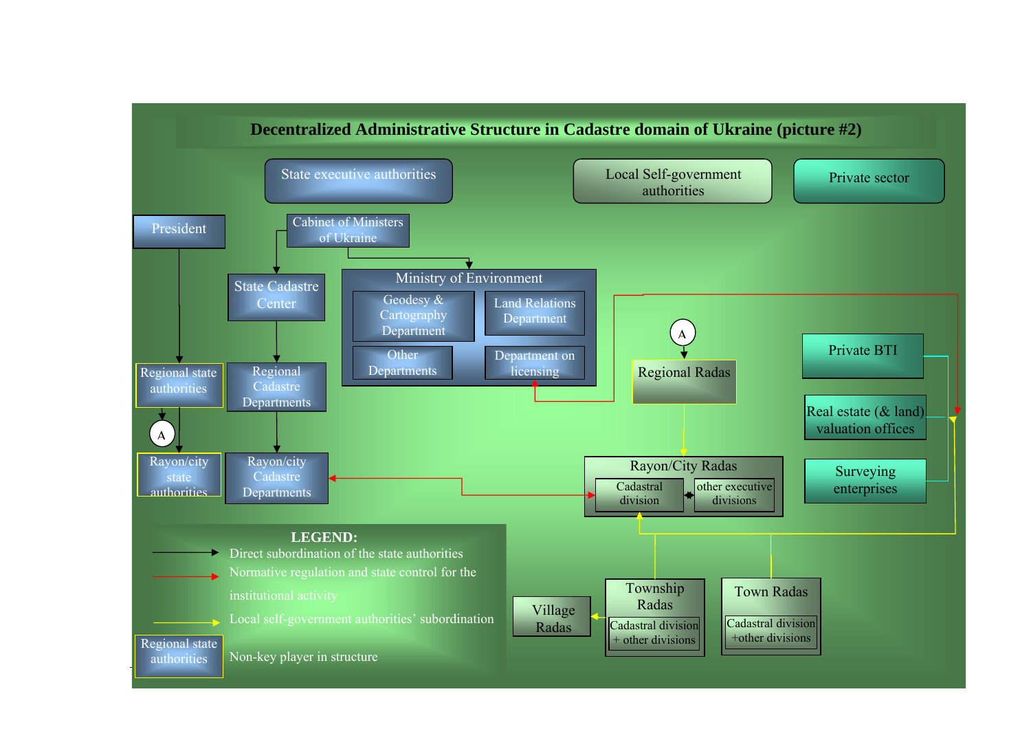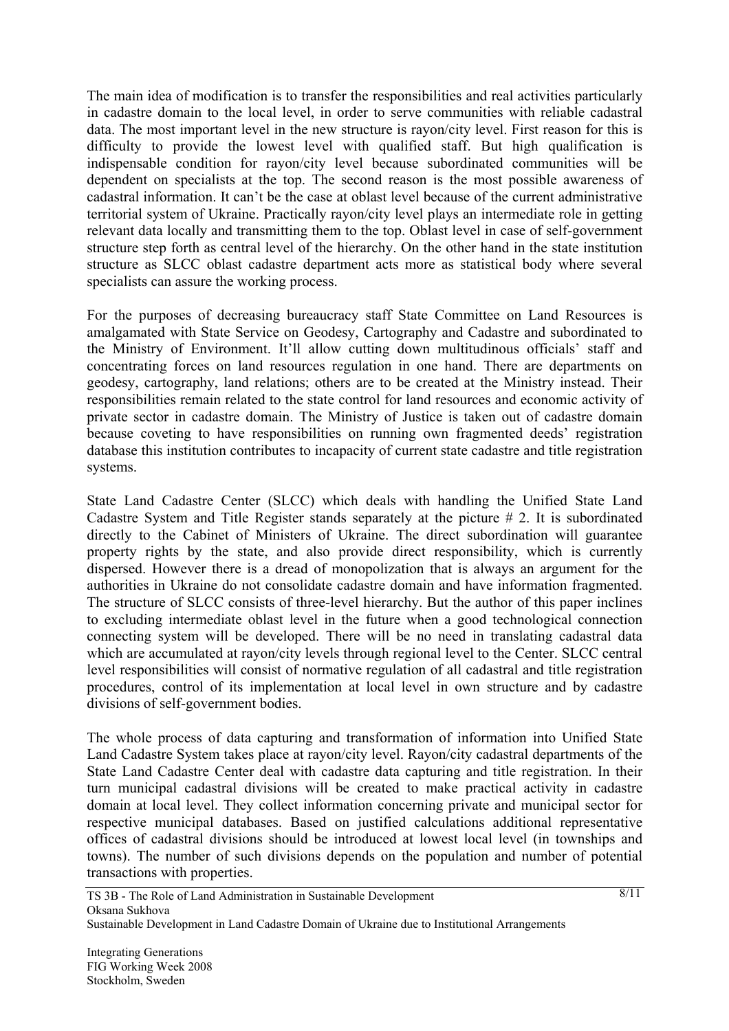The main idea of modification is to transfer the responsibilities and real activities particularly in cadastre domain to the local level, in order to serve communities with reliable cadastral data. The most important level in the new structure is rayon/city level. First reason for this is difficulty to provide the lowest level with qualified staff. But high qualification is indispensable condition for rayon/city level because subordinated communities will be dependent on specialists at the top. The second reason is the most possible awareness of cadastral information. It can't be the case at oblast level because of the current administrative territorial system of Ukraine. Practically rayon/city level plays an intermediate role in getting relevant data locally and transmitting them to the top. Oblast level in case of self-government structure step forth as central level of the hierarchy. On the other hand in the state institution structure as SLCC oblast cadastre department acts more as statistical body where several specialists can assure the working process.

For the purposes of decreasing bureaucracy staff State Committee on Land Resources is amalgamated with State Service on Geodesy, Cartography and Cadastre and subordinated to the Ministry of Environment. It'll allow cutting down multitudinous officials' staff and concentrating forces on land resources regulation in one hand. There are departments on geodesy, cartography, land relations; others are to be created at the Ministry instead. Their responsibilities remain related to the state control for land resources and economic activity of private sector in cadastre domain. The Ministry of Justice is taken out of cadastre domain because coveting to have responsibilities on running own fragmented deeds' registration database this institution contributes to incapacity of current state cadastre and title registration systems.

State Land Cadastre Center (SLCC) which deals with handling the Unified State Land Cadastre System and Title Register stands separately at the picture # 2. It is subordinated directly to the Cabinet of Ministers of Ukraine. The direct subordination will guarantee property rights by the state, and also provide direct responsibility, which is currently dispersed. However there is a dread of monopolization that is always an argument for the authorities in Ukraine do not consolidate cadastre domain and have information fragmented. The structure of SLCC consists of three-level hierarchy. But the author of this paper inclines to excluding intermediate oblast level in the future when a good technological connection connecting system will be developed. There will be no need in translating cadastral data which are accumulated at rayon/city levels through regional level to the Center. SLCC central level responsibilities will consist of normative regulation of all cadastral and title registration procedures, control of its implementation at local level in own structure and by cadastre divisions of self-government bodies.

The whole process of data capturing and transformation of information into Unified State Land Cadastre System takes place at rayon/city level. Rayon/city cadastral departments of the State Land Cadastre Center deal with cadastre data capturing and title registration. In their turn municipal cadastral divisions will be created to make practical activity in cadastre domain at local level. They collect information concerning private and municipal sector for respective municipal databases. Based on justified calculations additional representative offices of cadastral divisions should be introduced at lowest local level (in townships and towns). The number of such divisions depends on the population and number of potential transactions with properties.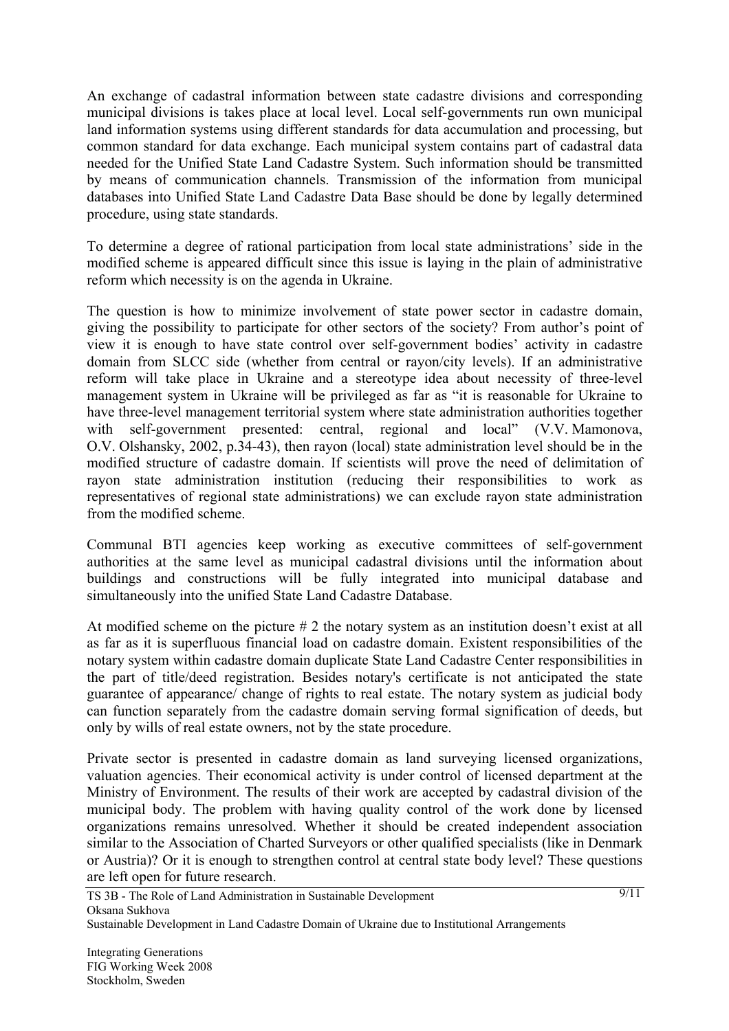An exchange of cadastral information between state cadastre divisions and corresponding municipal divisions is takes place at local level. Local self-governments run own municipal land information systems using different standards for data accumulation and processing, but common standard for data exchange. Each municipal system contains part of cadastral data needed for the Unified State Land Cadastre System. Such information should be transmitted by means of communication channels. Transmission of the information from municipal databases into Unified State Land Cadastre Data Base should be done by legally determined procedure, using state standards.

To determine a degree of rational participation from local state administrations' side in the modified scheme is appeared difficult since this issue is laying in the plain of administrative reform which necessity is on the agenda in Ukraine.

The question is how to minimize involvement of state power sector in cadastre domain, giving the possibility to participate for other sectors of the society? From author's point of view it is enough to have state control over self-government bodies' activity in cadastre domain from SLCC side (whether from central or rayon/city levels). If an administrative reform will take place in Ukraine and a stereotype idea about necessity of three-level management system in Ukraine will be privileged as far as "it is reasonable for Ukraine to have three-level management territorial system where state administration authorities together with self-government presented: central, regional and local" (V.V. Mamonova, O.V. Olshansky, 2002, p.34-43), then rayon (local) state administration level should be in the modified structure of cadastre domain. If scientists will prove the need of delimitation of rayon state administration institution (reducing their responsibilities to work as representatives of regional state administrations) we can exclude rayon state administration from the modified scheme.

Communal BTI agencies keep working as executive committees of self-government authorities at the same level as municipal cadastral divisions until the information about buildings and constructions will be fully integrated into municipal database and simultaneously into the unified State Land Cadastre Database.

At modified scheme on the picture # 2 the notary system as an institution doesn't exist at all as far as it is superfluous financial load on cadastre domain. Existent responsibilities of the notary system within cadastre domain duplicate State Land Cadastre Center responsibilities in the part of title/deed registration. Besides notary's certificate is not anticipated the state guarantee of appearance/ change of rights to real estate. The notary system as judicial body can function separately from the cadastre domain serving formal signification of deeds, but only by wills of real estate owners, not by the state procedure.

Private sector is presented in cadastre domain as land surveying licensed organizations, valuation agencies. Their economical activity is under control of licensed department at the Ministry of Environment. The results of their work are accepted by cadastral division of the municipal body. The problem with having quality control of the work done by licensed organizations remains unresolved. Whether it should be created independent association similar to the Association of Charted Surveyors or other qualified specialists (like in Denmark or Austria)? Or it is enough to strengthen control at central state body level? These questions are left open for future research.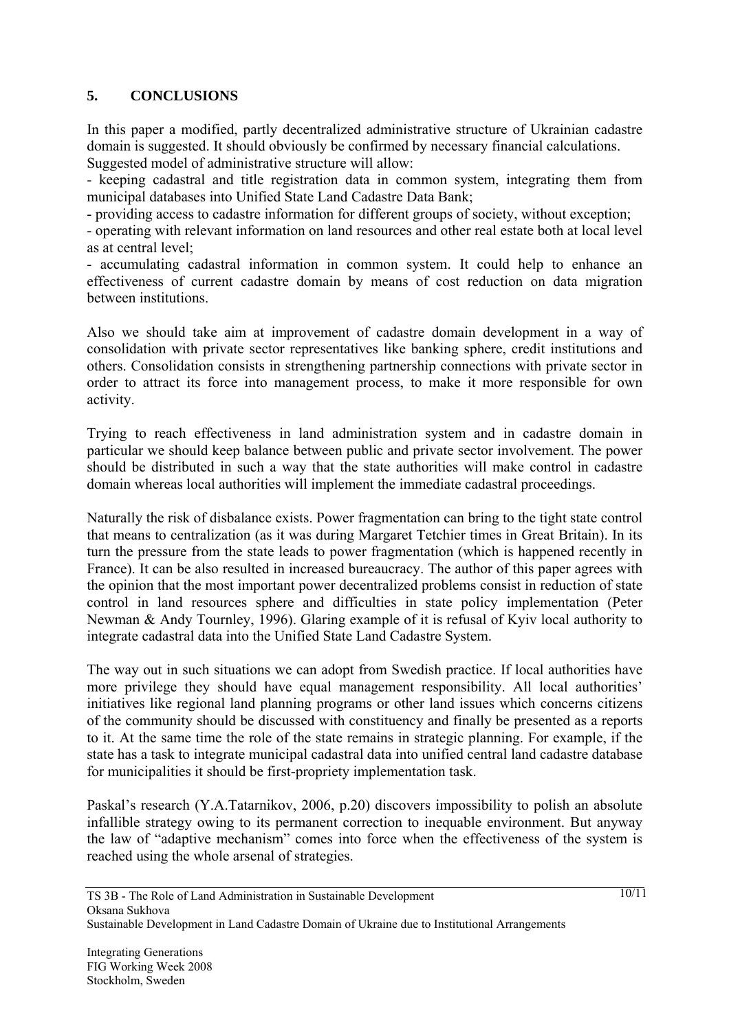# **5. CONCLUSIONS**

In this paper a modified, partly decentralized administrative structure of Ukrainian cadastre domain is suggested. It should obviously be confirmed by necessary financial calculations. Suggested model of administrative structure will allow:

- keeping cadastral and title registration data in common system, integrating them from municipal databases into Unified State Land Cadastre Data Bank;

- providing access to cadastre information for different groups of society, without exception;

- operating with relevant information on land resources and other real estate both at local level as at central level;

- accumulating cadastral information in common system. It could help to enhance an effectiveness of current cadastre domain by means of cost reduction on data migration between institutions.

Also we should take aim at improvement of cadastre domain development in a way of consolidation with private sector representatives like banking sphere, credit institutions and others. Consolidation consists in strengthening partnership connections with private sector in order to attract its force into management process, to make it more responsible for own activity.

Trying to reach effectiveness in land administration system and in cadastre domain in particular we should keep balance between public and private sector involvement. The power should be distributed in such a way that the state authorities will make control in cadastre domain whereas local authorities will implement the immediate cadastral proceedings.

Naturally the risk of disbalance exists. Power fragmentation can bring to the tight state control that means to centralization (as it was during Margaret Tetchier times in Great Britain). In its turn the pressure from the state leads to power fragmentation (which is happened recently in France). It can be also resulted in increased bureaucracy. The author of this paper agrees with the opinion that the most important power decentralized problems consist in reduction of state control in land resources sphere and difficulties in state policy implementation (Peter Newman & Andy Tournley, 1996). Glaring example of it is refusal of Kyiv local authority to integrate cadastral data into the Unified State Land Cadastre System.

The way out in such situations we can adopt from Swedish practice. If local authorities have more privilege they should have equal management responsibility. All local authorities' initiatives like regional land planning programs or other land issues which concerns citizens of the community should be discussed with constituency and finally be presented as a reports to it. At the same time the role of the state remains in strategic planning. For example, if the state has a task to integrate municipal cadastral data into unified central land cadastre database for municipalities it should be first-propriety implementation task.

Paskal's research (Y.A.Tatarnikov, 2006, p.20) discovers impossibility to polish an absolute infallible strategy owing to its permanent correction to inequable environment. But anyway the law of "adaptive mechanism" comes into force when the effectiveness of the system is reached using the whole arsenal of strategies.